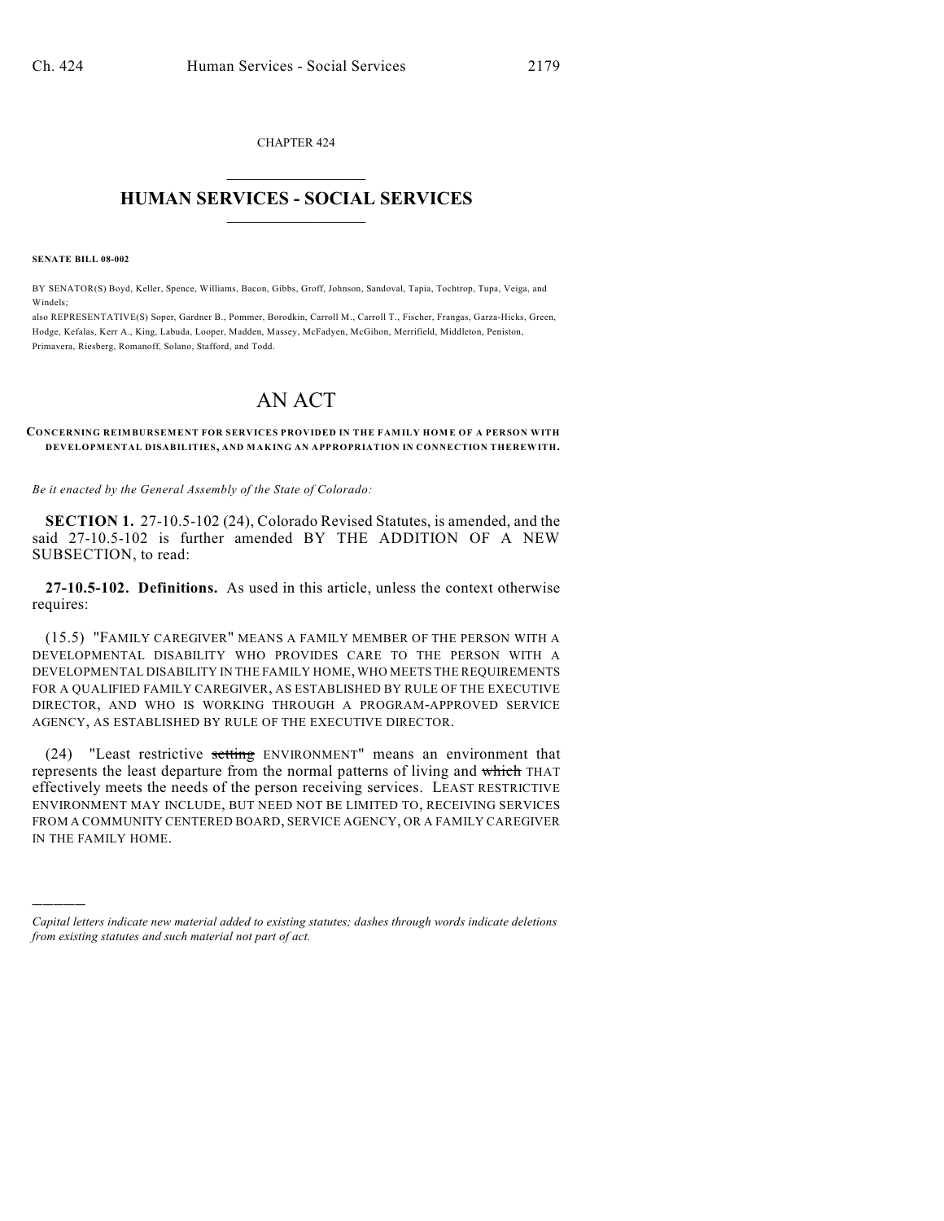CHAPTER 424  $\mathcal{L}_\text{max}$  . The set of the set of the set of the set of the set of the set of the set of the set of the set of the set of the set of the set of the set of the set of the set of the set of the set of the set of the set

## **HUMAN SERVICES - SOCIAL SERVICES**  $\frac{1}{2}$  ,  $\frac{1}{2}$  ,  $\frac{1}{2}$  ,  $\frac{1}{2}$  ,  $\frac{1}{2}$  ,  $\frac{1}{2}$  ,  $\frac{1}{2}$

**SENATE BILL 08-002**

)))))

BY SENATOR(S) Boyd, Keller, Spence, Williams, Bacon, Gibbs, Groff, Johnson, Sandoval, Tapia, Tochtrop, Tupa, Veiga, and Windels;

also REPRESENTATIVE(S) Soper, Gardner B., Pommer, Borodkin, Carroll M., Carroll T., Fischer, Frangas, Garza-Hicks, Green, Hodge, Kefalas, Kerr A., King, Labuda, Looper, Madden, Massey, McFadyen, McGihon, Merrifield, Middleton, Peniston, Primavera, Riesberg, Romanoff, Solano, Stafford, and Todd.

## AN ACT

**CONCERNING REIMBURSEMENT FOR SERVICES PROVIDED IN THE FAMILY HOME OF A PERSON WITH DEVELOPMENTAL DISABILITIES, AND MAKING AN APPROPRIATION IN CONNECTION THEREWITH.**

*Be it enacted by the General Assembly of the State of Colorado:*

**SECTION 1.** 27-10.5-102 (24), Colorado Revised Statutes, is amended, and the said 27-10.5-102 is further amended BY THE ADDITION OF A NEW SUBSECTION, to read:

**27-10.5-102. Definitions.** As used in this article, unless the context otherwise requires:

(15.5) "FAMILY CAREGIVER" MEANS A FAMILY MEMBER OF THE PERSON WITH A DEVELOPMENTAL DISABILITY WHO PROVIDES CARE TO THE PERSON WITH A DEVELOPMENTAL DISABILITY IN THE FAMILY HOME, WHO MEETS THE REQUIREMENTS FOR A QUALIFIED FAMILY CAREGIVER, AS ESTABLISHED BY RULE OF THE EXECUTIVE DIRECTOR, AND WHO IS WORKING THROUGH A PROGRAM-APPROVED SERVICE AGENCY, AS ESTABLISHED BY RULE OF THE EXECUTIVE DIRECTOR.

(24) "Least restrictive setting ENVIRONMENT" means an environment that represents the least departure from the normal patterns of living and which THAT effectively meets the needs of the person receiving services. LEAST RESTRICTIVE ENVIRONMENT MAY INCLUDE, BUT NEED NOT BE LIMITED TO, RECEIVING SERVICES FROM A COMMUNITY CENTERED BOARD, SERVICE AGENCY, OR A FAMILY CAREGIVER IN THE FAMILY HOME.

*Capital letters indicate new material added to existing statutes; dashes through words indicate deletions from existing statutes and such material not part of act.*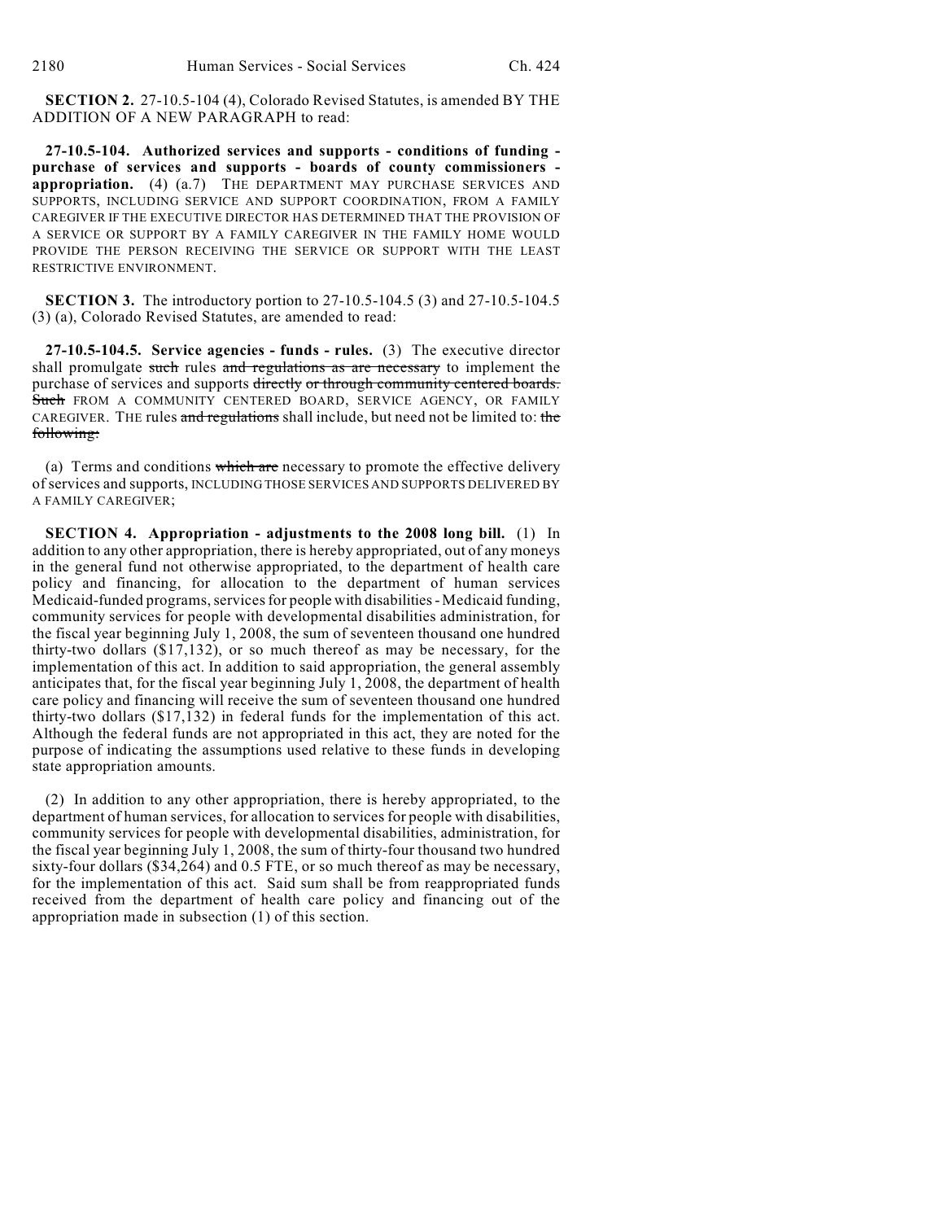**SECTION 2.** 27-10.5-104 (4), Colorado Revised Statutes, is amended BY THE ADDITION OF A NEW PARAGRAPH to read:

**27-10.5-104. Authorized services and supports - conditions of funding purchase of services and supports - boards of county commissioners appropriation.** (4) (a.7) THE DEPARTMENT MAY PURCHASE SERVICES AND SUPPORTS, INCLUDING SERVICE AND SUPPORT COORDINATION, FROM A FAMILY CAREGIVER IF THE EXECUTIVE DIRECTOR HAS DETERMINED THAT THE PROVISION OF A SERVICE OR SUPPORT BY A FAMILY CAREGIVER IN THE FAMILY HOME WOULD PROVIDE THE PERSON RECEIVING THE SERVICE OR SUPPORT WITH THE LEAST RESTRICTIVE ENVIRONMENT.

**SECTION 3.** The introductory portion to 27-10.5-104.5 (3) and 27-10.5-104.5 (3) (a), Colorado Revised Statutes, are amended to read:

**27-10.5-104.5. Service agencies - funds - rules.** (3) The executive director shall promulgate such rules and regulations as are necessary to implement the purchase of services and supports directly or through community centered boards. Such FROM A COMMUNITY CENTERED BOARD, SERVICE AGENCY, OR FAMILY CAREGIVER. THE rules and regulations shall include, but need not be limited to: the following:

(a) Terms and conditions which are necessary to promote the effective delivery of services and supports, INCLUDING THOSE SERVICES AND SUPPORTS DELIVERED BY A FAMILY CAREGIVER;

**SECTION 4. Appropriation - adjustments to the 2008 long bill.** (1) In addition to any other appropriation, there is hereby appropriated, out of any moneys in the general fund not otherwise appropriated, to the department of health care policy and financing, for allocation to the department of human services Medicaid-funded programs, services for people with disabilities - Medicaid funding, community services for people with developmental disabilities administration, for the fiscal year beginning July 1, 2008, the sum of seventeen thousand one hundred thirty-two dollars (\$17,132), or so much thereof as may be necessary, for the implementation of this act. In addition to said appropriation, the general assembly anticipates that, for the fiscal year beginning July 1, 2008, the department of health care policy and financing will receive the sum of seventeen thousand one hundred thirty-two dollars (\$17,132) in federal funds for the implementation of this act. Although the federal funds are not appropriated in this act, they are noted for the purpose of indicating the assumptions used relative to these funds in developing state appropriation amounts.

(2) In addition to any other appropriation, there is hereby appropriated, to the department of human services, for allocation to services for people with disabilities, community services for people with developmental disabilities, administration, for the fiscal year beginning July 1, 2008, the sum of thirty-four thousand two hundred sixty-four dollars (\$34,264) and 0.5 FTE, or so much thereof as may be necessary, for the implementation of this act. Said sum shall be from reappropriated funds received from the department of health care policy and financing out of the appropriation made in subsection (1) of this section.